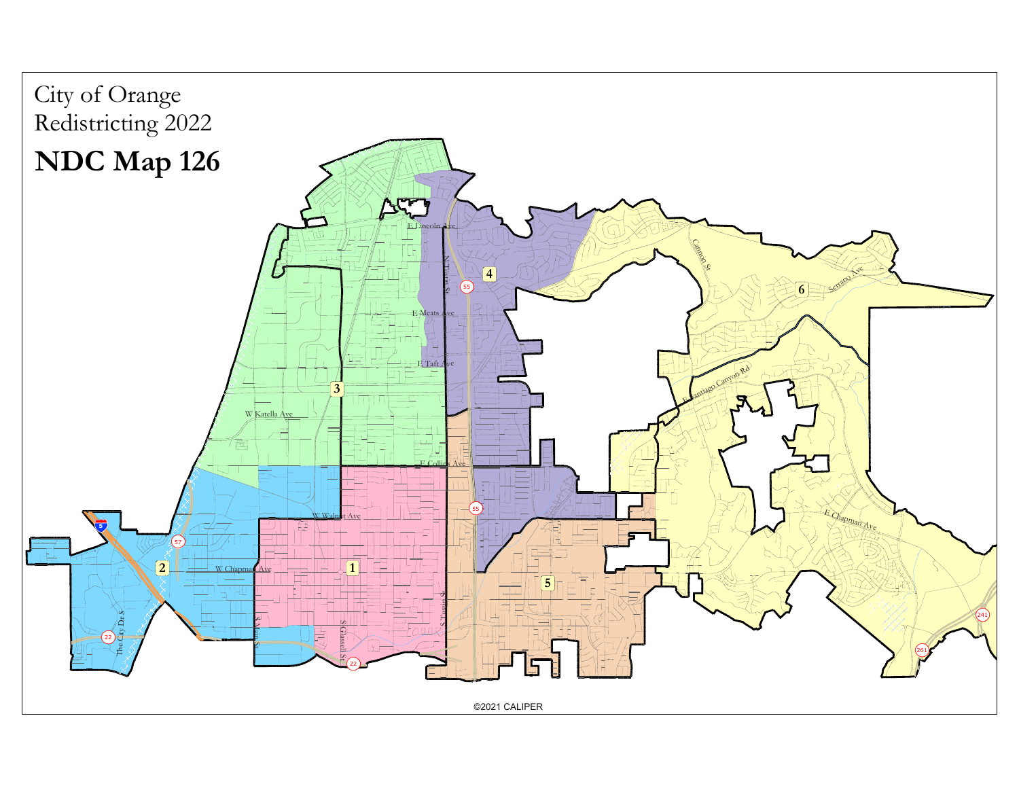